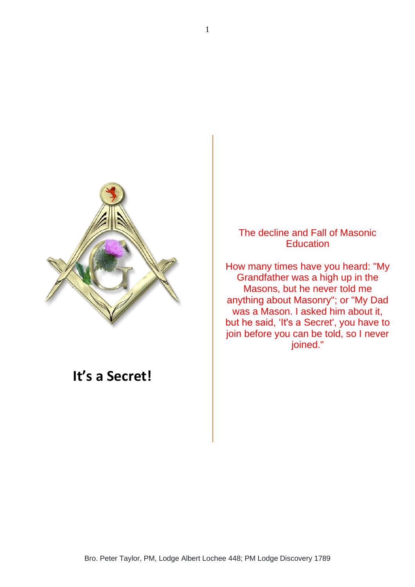

## **It's a Secret!**

The decline and Fall of Masonic **Education** 

How many times have you heard: "My Grandfather was a high up in the Masons, but he never told me anything about Masonry"; or "My Dad was a Mason. I asked him about it, but he said, 'It's a Secret', you have to join before you can be told, so I never joined."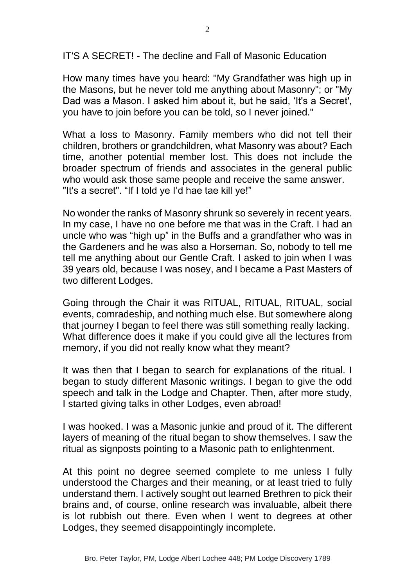IT'S A SECRET! - The decline and Fall of Masonic Education

How many times have you heard: "My Grandfather was high up in the Masons, but he never told me anything about Masonry"; or "My Dad was a Mason. I asked him about it, but he said, 'It's a Secret', you have to join before you can be told, so I never joined."

What a loss to Masonry. Family members who did not tell their children, brothers or grandchildren, what Masonry was about? Each time, another potential member lost. This does not include the broader spectrum of friends and associates in the general public who would ask those same people and receive the same answer. "It's a secret". "If I told ye I'd hae tae kill ye!"

No wonder the ranks of Masonry shrunk so severely in recent years. In my case, I have no one before me that was in the Craft. I had an uncle who was "high up" in the Buffs and a grandfather who was in the Gardeners and he was also a Horseman. So, nobody to tell me tell me anything about our Gentle Craft. I asked to join when I was 39 years old, because I was nosey, and I became a Past Masters of two different Lodges.

Going through the Chair it was RITUAL, RITUAL, RITUAL, social events, comradeship, and nothing much else. But somewhere along that journey I began to feel there was still something really lacking. What difference does it make if you could give all the lectures from memory, if you did not really know what they meant?

It was then that I began to search for explanations of the ritual. I began to study different Masonic writings. I began to give the odd speech and talk in the Lodge and Chapter. Then, after more study, I started giving talks in other Lodges, even abroad!

I was hooked. I was a Masonic junkie and proud of it. The different layers of meaning of the ritual began to show themselves. I saw the ritual as signposts pointing to a Masonic path to enlightenment.

At this point no degree seemed complete to me unless I fully understood the Charges and their meaning, or at least tried to fully understand them. I actively sought out learned Brethren to pick their brains and, of course, online research was invaluable, albeit there is lot rubbish out there. Even when I went to degrees at other Lodges, they seemed disappointingly incomplete.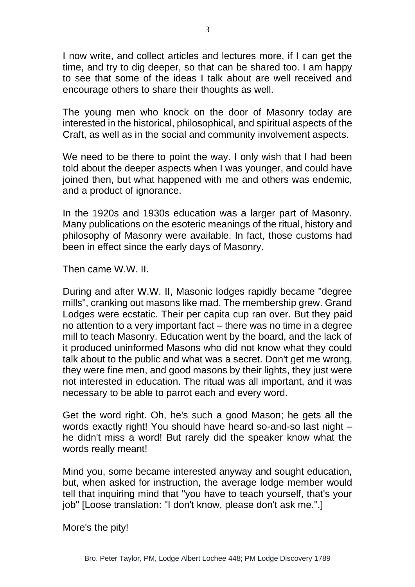I now write, and collect articles and lectures more, if I can get the time, and try to dig deeper, so that can be shared too. I am happy to see that some of the ideas I talk about are well received and encourage others to share their thoughts as well.

The young men who knock on the door of Masonry today are interested in the historical, philosophical, and spiritual aspects of the Craft, as well as in the social and community involvement aspects.

We need to be there to point the way. I only wish that I had been told about the deeper aspects when I was younger, and could have joined then, but what happened with me and others was endemic, and a product of ignorance.

In the 1920s and 1930s education was a larger part of Masonry. Many publications on the esoteric meanings of the ritual, history and philosophy of Masonry were available. In fact, those customs had been in effect since the early days of Masonry.

Then came W.W. II.

During and after W.W. II, Masonic lodges rapidly became "degree mills", cranking out masons like mad. The membership grew. Grand Lodges were ecstatic. Their per capita cup ran over. But they paid no attention to a very important fact – there was no time in a degree mill to teach Masonry. Education went by the board, and the lack of it produced uninformed Masons who did not know what they could talk about to the public and what was a secret. Don't get me wrong. they were fine men, and good masons by their lights, they just were not interested in education. The ritual was all important, and it was necessary to be able to parrot each and every word.

Get the word right. Oh, he's such a good Mason; he gets all the words exactly right! You should have heard so-and-so last night – he didn't miss a word! But rarely did the speaker know what the words really meant!

Mind you, some became interested anyway and sought education, but, when asked for instruction, the average lodge member would tell that inquiring mind that "you have to teach yourself, that's your job" [Loose translation: "I don't know, please don't ask me.".]

More's the pity!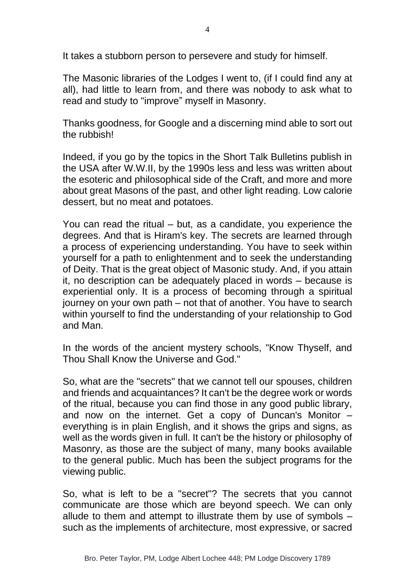It takes a stubborn person to persevere and study for himself.

The Masonic libraries of the Lodges I went to, (if I could find any at all), had little to learn from, and there was nobody to ask what to read and study to "improve" myself in Masonry.

Thanks goodness, for Google and a discerning mind able to sort out the rubbish!

Indeed, if you go by the topics in the Short Talk Bulletins publish in the USA after W.W.II, by the 1990s less and less was written about the esoteric and philosophical side of the Craft, and more and more about great Masons of the past, and other light reading. Low calorie dessert, but no meat and potatoes.

You can read the ritual – but, as a candidate, you experience the degrees. And that is Hiram's key. The secrets are learned through a process of experiencing understanding. You have to seek within yourself for a path to enlightenment and to seek the understanding of Deity. That is the great object of Masonic study. And, if you attain it, no description can be adequately placed in words – because is experiential only. It is a process of becoming through a spiritual journey on your own path – not that of another. You have to search within yourself to find the understanding of your relationship to God and Man.

In the words of the ancient mystery schools, "Know Thyself, and Thou Shall Know the Universe and God."

So, what are the "secrets" that we cannot tell our spouses, children and friends and acquaintances? It can't be the degree work or words of the ritual, because you can find those in any good public library, and now on the internet. Get a copy of Duncan's Monitor – everything is in plain English, and it shows the grips and signs, as well as the words given in full. It can't be the history or philosophy of Masonry, as those are the subject of many, many books available to the general public. Much has been the subject programs for the viewing public.

So, what is left to be a "secret"? The secrets that you cannot communicate are those which are beyond speech. We can only allude to them and attempt to illustrate them by use of symbols – such as the implements of architecture, most expressive, or sacred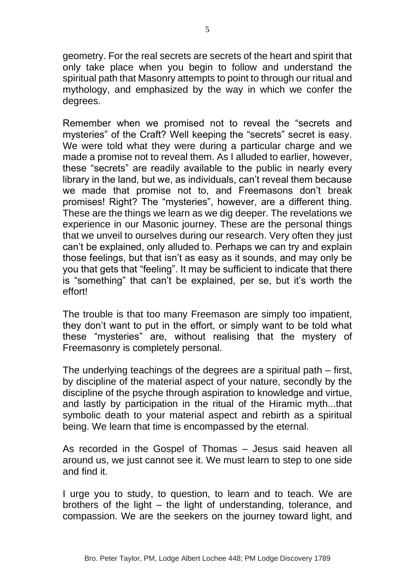geometry. For the real secrets are secrets of the heart and spirit that only take place when you begin to follow and understand the spiritual path that Masonry attempts to point to through our ritual and mythology, and emphasized by the way in which we confer the degrees.

Remember when we promised not to reveal the "secrets and mysteries" of the Craft? Well keeping the "secrets" secret is easy. We were told what they were during a particular charge and we made a promise not to reveal them. As I alluded to earlier, however, these "secrets" are readily available to the public in nearly every library in the land, but we, as individuals, can't reveal them because we made that promise not to, and Freemasons don't break promises! Right? The "mysteries", however, are a different thing. These are the things we learn as we dig deeper. The revelations we experience in our Masonic journey. These are the personal things that we unveil to ourselves during our research. Very often they just can't be explained, only alluded to. Perhaps we can try and explain those feelings, but that isn't as easy as it sounds, and may only be you that gets that "feeling". It may be sufficient to indicate that there is "something" that can't be explained, per se, but it's worth the effort!

The trouble is that too many Freemason are simply too impatient, they don't want to put in the effort, or simply want to be told what these "mysteries" are, without realising that the mystery of Freemasonry is completely personal.

The underlying teachings of the degrees are a spiritual path – first, by discipline of the material aspect of your nature, secondly by the discipline of the psyche through aspiration to knowledge and virtue, and lastly by participation in the ritual of the Hiramic myth...that symbolic death to your material aspect and rebirth as a spiritual being. We learn that time is encompassed by the eternal.

As recorded in the Gospel of Thomas – Jesus said heaven all around us, we just cannot see it. We must learn to step to one side and find it.

I urge you to study, to question, to learn and to teach. We are brothers of the light – the light of understanding, tolerance, and compassion. We are the seekers on the journey toward light, and